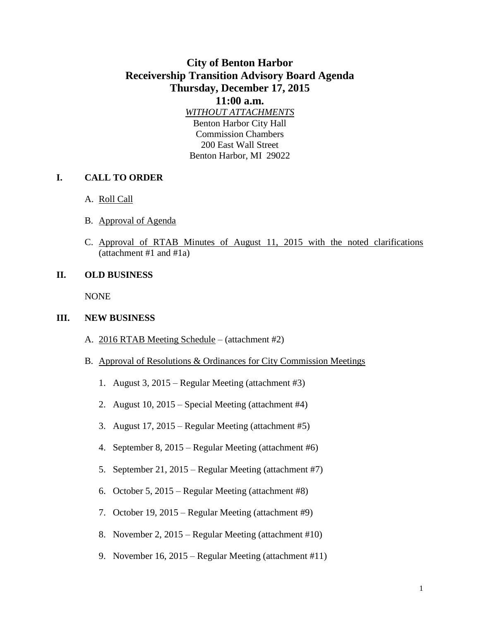# **City of Benton Harbor Receivership Transition Advisory Board Agenda Thursday, December 17, 2015**

**11:00 a.m.** *WITHOUT ATTACHMENTS* Benton Harbor City Hall Commission Chambers 200 East Wall Street Benton Harbor, MI 29022

### **I. CALL TO ORDER**

- A. Roll Call
- B. Approval of Agenda
- C. Approval of RTAB Minutes of August 11, 2015 with the noted clarifications (attachment #1 and #1a)

#### **II. OLD BUSINESS**

NONE

#### **III. NEW BUSINESS**

- A. 2016 RTAB Meeting Schedule (attachment #2)
- B. Approval of Resolutions & Ordinances for City Commission Meetings
	- 1. August 3, 2015 Regular Meeting (attachment #3)
	- 2. August 10, 2015 Special Meeting (attachment #4)
	- 3. August 17, 2015 Regular Meeting (attachment #5)
	- 4. September 8, 2015 Regular Meeting (attachment #6)
	- 5. September 21, 2015 Regular Meeting (attachment #7)
	- 6. October 5, 2015 Regular Meeting (attachment #8)
	- 7. October 19, 2015 Regular Meeting (attachment #9)
	- 8. November 2, 2015 Regular Meeting (attachment #10)
	- 9. November 16, 2015 Regular Meeting (attachment #11)